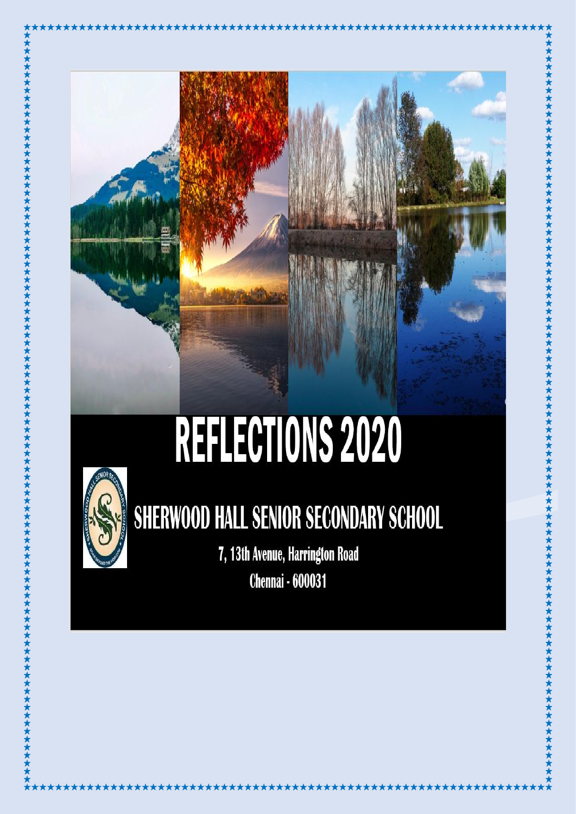

# REFLECTIONS 2020



### **SHERWOOD HALL SENIOR SECONDARY SCHOOL**

7, 13th Avenue, Harrington Road **Chennai - 600031**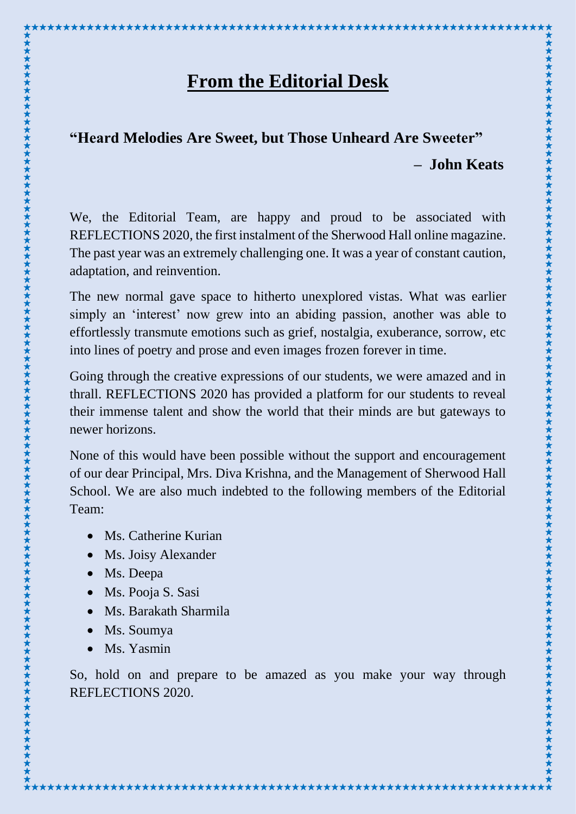#### **From the Editorial Desk**

\*\*\*\*\*\*\*\*\*\*\*\*\*\*\*\*\*\*\*\*\*\*\*\*\*\*\*\*

#### **"Heard Melodies Are Sweet, but Those Unheard Are Sweeter" – John Keats**

We, the Editorial Team, are happy and proud to be associated with REFLECTIONS 2020, the first instalment of the Sherwood Hall online magazine. The past year was an extremely challenging one. It was a year of constant caution, adaptation, and reinvention.

The new normal gave space to hitherto unexplored vistas. What was earlier simply an 'interest' now grew into an abiding passion, another was able to effortlessly transmute emotions such as grief, nostalgia, exuberance, sorrow, etc into lines of poetry and prose and even images frozen forever in time.

Going through the creative expressions of our students, we were amazed and in thrall. REFLECTIONS 2020 has provided a platform for our students to reveal their immense talent and show the world that their minds are but gateways to newer horizons.

None of this would have been possible without the support and encouragement of our dear Principal, Mrs. Diva Krishna, and the Management of Sherwood Hall School. We are also much indebted to the following members of the Editorial Team:

• Ms. Catherine Kurian

\*\*\*\*\*\*\*\*\*\*\*\*\*\*\*\*\*\*\*\*\*\*\*\*

- Ms. Joisy Alexander
- Ms. Deepa

- Ms. Pooja S. Sasi
- Ms. Barakath Sharmila
- Ms. Soumya
- Ms. Yasmin

So, hold on and prepare to be amazed as you make your way through REFLECTIONS 2020.